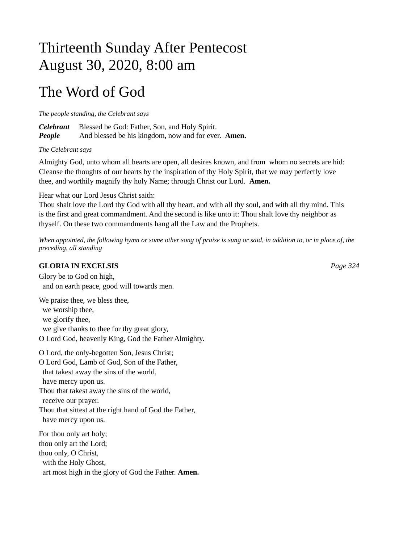# Thirteenth Sunday After Pentecost August 30, 2020, 8:00 am

# The Word of God

*The people standing, the Celebrant says*

*Celebrant*Blessed be God: Father, Son, and Holy Spirit. *People* And blessed be his kingdom, now and for ever. **Amen.**

*The Celebrant says*

Almighty God, unto whom all hearts are open, all desires known, and from whom no secrets are hid: Cleanse the thoughts of our hearts by the inspiration of thy Holy Spirit, that we may perfectly love thee, and worthily magnify thy holy Name; through Christ our Lord. **Amen.**

Hear what our Lord Jesus Christ saith:

Thou shalt love the Lord thy God with all thy heart, and with all thy soul, and with all thy mind. This is the first and great commandment. And the second is like unto it: Thou shalt love thy neighbor as thyself. On these two commandments hang all the Law and the Prophets.

*When appointed, the following hymn or some other song of praise is sung or said, in addition to, or in place of, the preceding, all standing*

# **GLORIA IN EXCELSIS** *Page 324*

Glory be to God on high, and on earth peace, good will towards men.

We praise thee, we bless thee, we worship thee, we glorify thee, we give thanks to thee for thy great glory, O Lord God, heavenly King, God the Father Almighty.

O Lord, the only-begotten Son, Jesus Christ; O Lord God, Lamb of God, Son of the Father, that takest away the sins of the world, have mercy upon us. Thou that takest away the sins of the world, receive our prayer. Thou that sittest at the right hand of God the Father, have mercy upon us.

For thou only art holy; thou only art the Lord; thou only, O Christ, with the Holy Ghost, art most high in the glory of God the Father. **Amen.**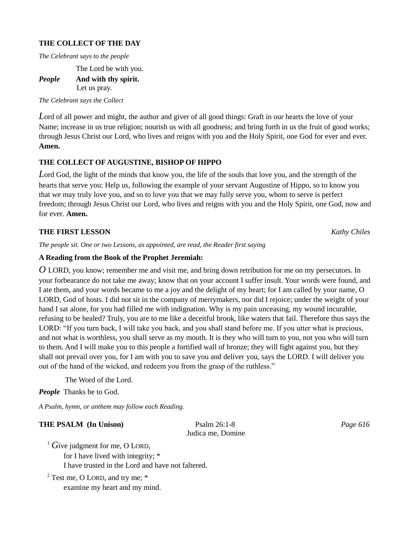# **THE COLLECT OF THE DAY**

*The Celebrant says to the people* 

The Lord be with you.

#### *People* **And with thy spirit.** Let us pray.

*The Celebrant says the Collect*

*L*ord of all power and might, the author and giver of all good things: Graft in our hearts the love of your Name; increase in us true religion; nourish us with all goodness; and bring forth in us the fruit of good works; through Jesus Christ our Lord, who lives and reigns with you and the Holy Spirit, one God for ever and ever. **Amen.**

# **THE COLLECT OF AUGUSTINE, BISHOP OF HIPPO**

*L*ord God, the light of the minds that know you, the life of the souls that love you, and the strength of the hearts that serve you: Help us, following the example of your servant Augustine of Hippo, so to know you that we may truly love you, and so to love you that we may fully serve you, whom to serve is perfect freedom; through Jesus Christ our Lord, who lives and reigns with you and the Holy Spirit, one God, now and for ever. **Amen.**

# **THE FIRST LESSON** *Kathy Chiles*

The people sit. One or two Lessons, as appointed, are read, the Reader first saying

# **A Reading from the Book of the Prophet Jeremiah:**

*O* LORD, you know; remember me and visit me, and bring down retribution for me on my persecutors. In your forbearance do not take me away; know that on your account I suffer insult. Your words were found, and I ate them, and your words became to me a joy and the delight of my heart; for I am called by your name, O LORD, God of hosts. I did not sit in the company of merrymakers, nor did I rejoice; under the weight of your hand I sat alone, for you had filled me with indignation. Why is my pain unceasing, my wound incurable, refusing to be healed? Truly, you are to me like a deceitful brook, like waters that fail. Therefore thus says the LORD: "If you turn back, I will take you back, and you shall stand before me. If you utter what is precious, and not what is worthless, you shall serve as my mouth. It is they who will turn to you, not you who will turn to them. And I will make you to this people a fortified wall of bronze; they will fight against you, but they shall not prevail over you, for I am with you to save you and deliver you, says the LORD. I will deliver you out of the hand of the wicked, and redeem you from the grasp of the ruthless."

The Word of the Lord.

*People* Thanks be to God.

*A Psalm, hymn, or anthem may follow each Reading.*

# **THE PSALM (In Unison) Psalm 26:1-8** *Page 616*

Judica me, Domine

<sup>1</sup> Give judgment for me, O LORD, for I have lived with integrity; \* I have trusted in the Lord and have not faltered.

 $2$  Test me, O LORD, and try me;  $*$ examine my heart and my mind.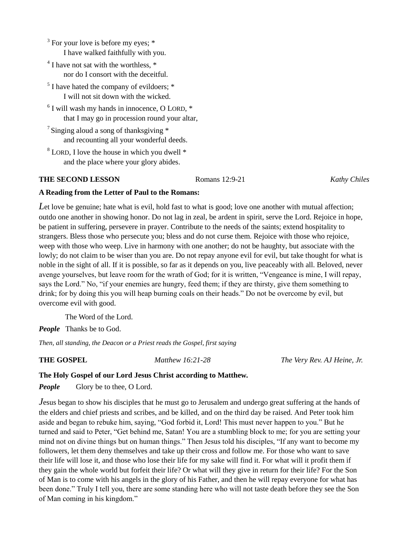<sup>3</sup> For your love is before my eyes; \* I have walked faithfully with you.

<sup>4</sup> I have not sat with the worthless, \* nor do I consort with the deceitful.

<sup>5</sup> I have hated the company of evildoers; \* I will not sit down with the wicked.

6 I will wash my hands in innocence, O LORD, \* that I may go in procession round your altar,

<sup>7</sup> Singing aloud a song of thanksgiving  $*$ and recounting all your wonderful deeds.

 $8$  LORD, I love the house in which you dwell  $*$ and the place where your glory abides.

### **THE SECOND LESSON** Romans 12:9-21 *Kathy Chiles*

# **A Reading from the Letter of Paul to the Romans:**

Let love be genuine; hate what is evil, hold fast to what is good; love one another with mutual affection; outdo one another in showing honor. Do not lag in zeal, be ardent in spirit, serve the Lord. Rejoice in hope, be patient in suffering, persevere in prayer. Contribute to the needs of the saints; extend hospitality to strangers. Bless those who persecute you; bless and do not curse them. Rejoice with those who rejoice, weep with those who weep. Live in harmony with one another; do not be haughty, but associate with the lowly; do not claim to be wiser than you are. Do not repay anyone evil for evil, but take thought for what is noble in the sight of all. If it is possible, so far as it depends on you, live peaceably with all. Beloved, never avenge yourselves, but leave room for the wrath of God; for it is written, "Vengeance is mine, I will repay, says the Lord." No, "if your enemies are hungry, feed them; if they are thirsty, give them something to drink; for by doing this you will heap burning coals on their heads." Do not be overcome by evil, but overcome evil with good.

The Word of the Lord.

*People* Thanks be to God.

*Then, all standing, the Deacon or a Priest reads the Gospel, first saying*

**THE GOSPEL** *Matthew 16:21-28 The Very Rev. AJ Heine, Jr.*

# **The Holy Gospel of our Lord Jesus Christ according to Matthew.**

*People* Glory be to thee, O Lord.

*J*esus began to show his disciples that he must go to Jerusalem and undergo great suffering at the hands of the elders and chief priests and scribes, and be killed, and on the third day be raised. And Peter took him aside and began to rebuke him, saying, "God forbid it, Lord! This must never happen to you." But he turned and said to Peter, "Get behind me, Satan! You are a stumbling block to me; for you are setting your mind not on divine things but on human things." Then Jesus told his disciples, "If any want to become my followers, let them deny themselves and take up their cross and follow me. For those who want to save their life will lose it, and those who lose their life for my sake will find it. For what will it profit them if they gain the whole world but forfeit their life? Or what will they give in return for their life? For the Son of Man is to come with his angels in the glory of his Father, and then he will repay everyone for what has been done." Truly I tell you, there are some standing here who will not taste death before they see the Son of Man coming in his kingdom."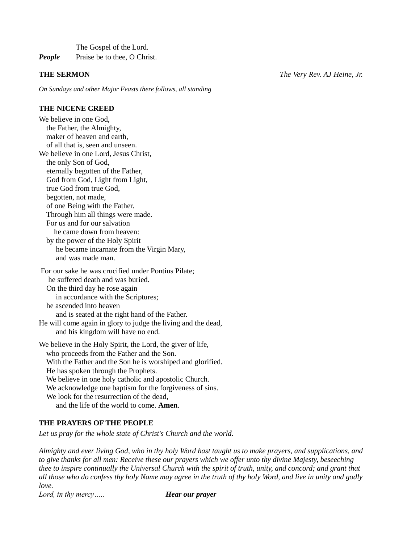The Gospel of the Lord.

*People* Praise be to thee, O Christ.

**THE SERMON** *<i>The Very Rev. AJ Heine, Jr. The Very Rev. AJ Heine, Jr.* 

*On Sundays and other Major Feasts there follows, all standing*

# **THE NICENE CREED**

We believe in one God, the Father, the Almighty, maker of heaven and earth, of all that is, seen and unseen. We believe in one Lord, Jesus Christ, the only Son of God, eternally begotten of the Father, God from God, Light from Light, true God from true God, begotten, not made, of one Being with the Father. Through him all things were made. For us and for our salvation he came down from heaven: by the power of the Holy Spirit he became incarnate from the Virgin Mary, and was made man. For our sake he was crucified under Pontius Pilate; he suffered death and was buried. On the third day he rose again

in accordance with the Scriptures;

he ascended into heaven

 and is seated at the right hand of the Father. He will come again in glory to judge the living and the dead, and his kingdom will have no end.

We believe in the Holy Spirit, the Lord, the giver of life, who proceeds from the Father and the Son. With the Father and the Son he is worshiped and glorified. He has spoken through the Prophets. We believe in one holy catholic and apostolic Church. We acknowledge one baptism for the forgiveness of sins. We look for the resurrection of the dead, and the life of the world to come. **Amen**.

# **THE PRAYERS OF THE PEOPLE**

*Let us pray for the whole state of Christ's Church and the world.* 

*Almighty and ever living God, who in thy holy Word hast taught us to make prayers, and supplications, and to give thanks for all men: Receive these our prayers which we offer unto thy divine Majesty, beseeching thee to inspire continually the Universal Church with the spirit of truth, unity, and concord; and grant that all those who do confess thy holy Name may agree in the truth of thy holy Word, and live in unity and godly love.* 

*Lord, in thy mercy….. Hear our prayer*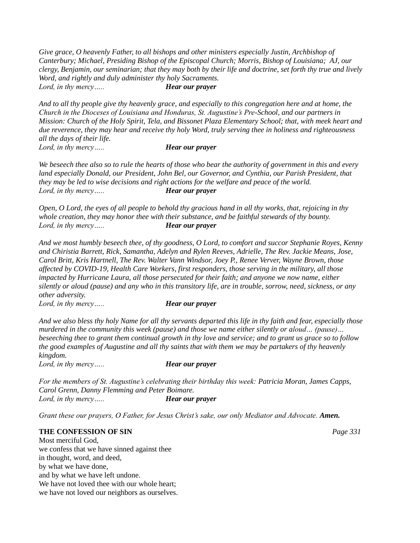*Give grace, O heavenly Father, to all bishops and other ministers especially Justin, Archbishop of Canterbury; Michael, Presiding Bishop of the Episcopal Church; Morris, Bishop of Louisiana; AJ, our clergy, Benjamin, our seminarian; that they may both by their life and doctrine, set forth thy true and lively Word, and rightly and duly administer thy holy Sacraments. Lord, in thy mercy….. Hear our prayer*

*And to all thy people give thy heavenly grace, and especially to this congregation here and at home, the Church in the Dioceses of Louisiana and Honduras, St. Augustine's Pre-School, and our partners in Mission: Church of the Holy Spirit, Tela, and Bissonet Plaza Elementary School; that, with meek heart and due reverence, they may hear and receive thy holy Word, truly serving thee in holiness and righteousness all the days of their life. Lord, in thy mercy….. Hear our prayer*

*We beseech thee also so to rule the hearts of those who bear the authority of government in this and every land especially Donald, our President, John Bel, our Governor, and Cynthia, our Parish President, that they may be led to wise decisions and right actions for the welfare and peace of the world. Lord, in thy mercy….. Hear our prayer*

*Open, O Lord, the eyes of all people to behold thy gracious hand in all thy works, that, rejoicing in thy whole creation, they may honor thee with their substance, and be faithful stewards of thy bounty. Lord, in thy mercy….. Hear our prayer*

*And we most humbly beseech thee, of thy goodness, O Lord, to comfort and succor Stephanie Royes, Kenny and Chiristia Barrett, Rick, Samantha, Adelyn and Rylen Reeves, Adrielle, The Rev. Jackie Means, Jose, Carol Britt, Kris Hartnell, The Rev. Walter Vann Windsor, Joey P., Renee Verver, Wayne Brown, those affected by COVID-19, Health Care Workers, first responders, those serving in the military, all those impacted by Hurricane Laura, all those persecuted for their faith; and anyone we now name, either silently or aloud (pause) and any who in this transitory life, are in trouble, sorrow, need, sickness, or any other adversity.*

*Lord, in thy mercy….. Hear our prayer*

*And we also bless thy holy Name for all thy servants departed this life in thy faith and fear, especially those murdered in the community this week (pause) and those we name either silently or aloud... (pause)... beseeching thee to grant them continual growth in thy love and service; and to grant us grace so to follow the good examples of Augustine and all thy saints that with them we may be partakers of thy heavenly kingdom.* 

*Lord, in thy mercy..... Hear our prayer* 

*For the members of St. Augustine's celebrating their birthday this week: Patricia Moran, James Capps, Carol Grenn, Danny Flemming and Peter Boimare. Lord, in thy mercy….. Hear our prayer*

*Grant these our prayers, O Father, for Jesus Christ's sake, our only Mediator and Advocate. Amen.*

# **THE CONFESSION OF SIN** *Page 331*

Most merciful God, we confess that we have sinned against thee in thought, word, and deed, by what we have done, and by what we have left undone. We have not loved thee with our whole heart; we have not loved our neighbors as ourselves.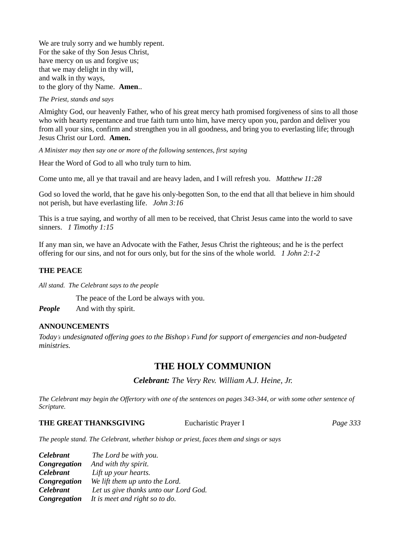We are truly sorry and we humbly repent. For the sake of thy Son Jesus Christ, have mercy on us and forgive us; that we may delight in thy will, and walk in thy ways, to the glory of thy Name. **Amen**..

#### *The Priest, stands and says*

Almighty God, our heavenly Father, who of his great mercy hath promised forgiveness of sins to all those who with hearty repentance and true faith turn unto him, have mercy upon you, pardon and deliver you from all your sins, confirm and strengthen you in all goodness, and bring you to everlasting life; through Jesus Christ our Lord. **Amen.**

*A Minister may then say one or more of the following sentences, first saying*

Hear the Word of God to all who truly turn to him.

Come unto me, all ye that travail and are heavy laden, and I will refresh you. *Matthew 11:28*

God so loved the world, that he gave his only-begotten Son, to the end that all that believe in him should not perish, but have everlasting life. *John 3:16*

This is a true saying, and worthy of all men to be received, that Christ Jesus came into the world to save sinners. *1 Timothy 1:15*

If any man sin, we have an Advocate with the Father, Jesus Christ the righteous; and he is the perfect offering for our sins, and not for ours only, but for the sins of the whole world. *1 John 2:1-2*

### **THE PEACE**

*All stand. The Celebrant says to the people*

The peace of the Lord be always with you.

*People* And with thy spirit.

# **ANNOUNCEMENTS**

*Today's undesignated offering goes to the Bishop's Fund for support of emergencies and non-budgeted ministries.*

# **THE HOLY COMMUNION**

 *Celebrant: The Very Rev. William A.J. Heine, Jr.*

*The Celebrant may begin the Offertory with one of the sentences on pages 343-344, or with some other sentence of Scripture.*

### **THE GREAT THANKSGIVING** Eucharistic Prayer I *Page 333*

*The people stand. The Celebrant, whether bishop or priest, faces them and sings or says*

| <b>Celebrant</b> | The Lord be with you.                 |
|------------------|---------------------------------------|
| Congregation     | And with thy spirit.                  |
| <b>Celebrant</b> | Lift up your hearts.                  |
| Congregation     | We lift them up unto the Lord.        |
| <b>Celebrant</b> | Let us give thanks unto our Lord God. |
| Congregation     | It is meet and right so to do.        |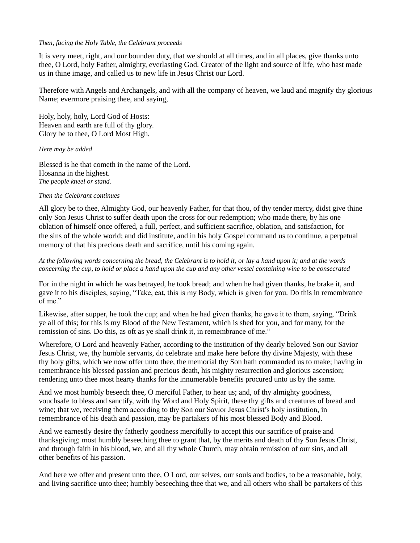#### *Then, facing the Holy Table, the Celebrant proceeds*

It is very meet, right, and our bounden duty, that we should at all times, and in all places, give thanks unto thee, O Lord, holy Father, almighty, everlasting God. Creator of the light and source of life, who hast made us in thine image, and called us to new life in Jesus Christ our Lord.

Therefore with Angels and Archangels, and with all the company of heaven, we laud and magnify thy glorious Name; evermore praising thee, and saying,

Holy, holy, holy, Lord God of Hosts: Heaven and earth are full of thy glory. Glory be to thee, O Lord Most High.

*Here may be added*

Blessed is he that cometh in the name of the Lord. Hosanna in the highest. *The people kneel or stand.*

#### *Then the Celebrant continues*

All glory be to thee, Almighty God, our heavenly Father, for that thou, of thy tender mercy, didst give thine only Son Jesus Christ to suffer death upon the cross for our redemption; who made there, by his one oblation of himself once offered, a full, perfect, and sufficient sacrifice, oblation, and satisfaction, for the sins of the whole world; and did institute, and in his holy Gospel command us to continue, a perpetual memory of that his precious death and sacrifice, until his coming again.

*At the following words concerning the bread, the Celebrant is to hold it, or lay a hand upon it; and at the words concerning the cup, to hold or place a hand upon the cup and any other vessel containing wine to be consecrated*

For in the night in which he was betrayed, he took bread; and when he had given thanks, he brake it, and gave it to his disciples, saying, "Take, eat, this is my Body, which is given for you. Do this in remembrance of me."

Likewise, after supper, he took the cup; and when he had given thanks, he gave it to them, saying, "Drink ye all of this; for this is my Blood of the New Testament, which is shed for you, and for many, for the remission of sins. Do this, as oft as ye shall drink it, in remembrance of me."

Wherefore, O Lord and heavenly Father, according to the institution of thy dearly beloved Son our Savior Jesus Christ, we, thy humble servants, do celebrate and make here before thy divine Majesty, with these thy holy gifts, which we now offer unto thee, the memorial thy Son hath commanded us to make; having in remembrance his blessed passion and precious death, his mighty resurrection and glorious ascension; rendering unto thee most hearty thanks for the innumerable benefits procured unto us by the same.

And we most humbly beseech thee, O merciful Father, to hear us; and, of thy almighty goodness, vouchsafe to bless and sanctify, with thy Word and Holy Spirit, these thy gifts and creatures of bread and wine; that we, receiving them according to thy Son our Savior Jesus Christ's holy institution, in remembrance of his death and passion, may be partakers of his most blessed Body and Blood.

And we earnestly desire thy fatherly goodness mercifully to accept this our sacrifice of praise and thanksgiving; most humbly beseeching thee to grant that, by the merits and death of thy Son Jesus Christ, and through faith in his blood, we, and all thy whole Church, may obtain remission of our sins, and all other benefits of his passion.

And here we offer and present unto thee, O Lord, our selves, our souls and bodies, to be a reasonable, holy, and living sacrifice unto thee; humbly beseeching thee that we, and all others who shall be partakers of this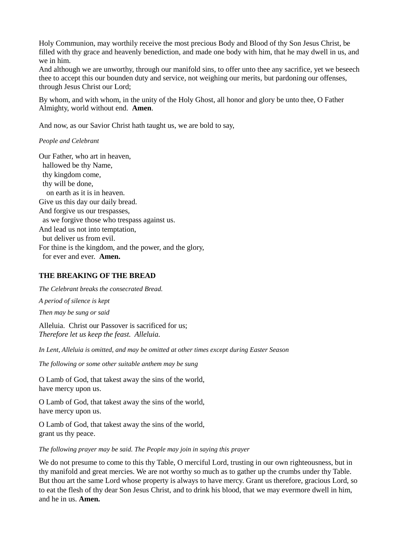Holy Communion, may worthily receive the most precious Body and Blood of thy Son Jesus Christ, be filled with thy grace and heavenly benediction, and made one body with him, that he may dwell in us, and we in him.

And although we are unworthy, through our manifold sins, to offer unto thee any sacrifice, yet we beseech thee to accept this our bounden duty and service, not weighing our merits, but pardoning our offenses, through Jesus Christ our Lord;

By whom, and with whom, in the unity of the Holy Ghost, all honor and glory be unto thee, O Father Almighty, world without end. **Amen**.

And now, as our Savior Christ hath taught us, we are bold to say,

### *People and Celebrant*

Our Father, who art in heaven, hallowed be thy Name, thy kingdom come, thy will be done, on earth as it is in heaven. Give us this day our daily bread. And forgive us our trespasses, as we forgive those who trespass against us. And lead us not into temptation, but deliver us from evil. For thine is the kingdom, and the power, and the glory, for ever and ever. **Amen.**

# **THE BREAKING OF THE BREAD**

*The Celebrant breaks the consecrated Bread. A period of silence is kept Then may be sung or said* Alleluia. Christ our Passover is sacrificed for us;

*Therefore let us keep the feast. Alleluia.*

*In Lent, Alleluia is omitted, and may be omitted at other times except during Easter Season*

*The following or some other suitable anthem may be sung*

O Lamb of God, that takest away the sins of the world, have mercy upon us.

O Lamb of God, that takest away the sins of the world, have mercy upon us.

O Lamb of God, that takest away the sins of the world, grant us thy peace.

*The following prayer may be said. The People may join in saying this prayer*

We do not presume to come to this thy Table, O merciful Lord, trusting in our own righteousness, but in thy manifold and great mercies. We are not worthy so much as to gather up the crumbs under thy Table. But thou art the same Lord whose property is always to have mercy. Grant us therefore, gracious Lord, so to eat the flesh of thy dear Son Jesus Christ, and to drink his blood, that we may evermore dwell in him, and he in us. **Amen.**